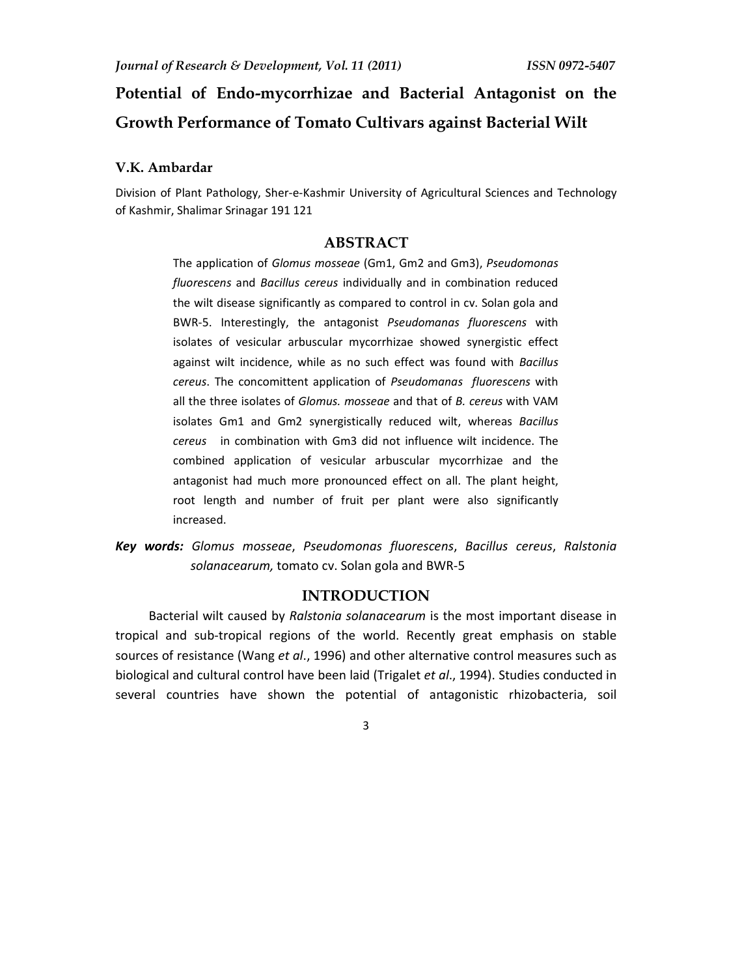# **Potential of Endo-mycorrhizae and Bacterial Antagonist on the Growth Performance of Tomato Cultivars against Bacterial Wilt**

### **V.K. Ambardar**

Division of Plant Pathology, Sher-e-Kashmir University of Agricultural Sciences and Technology of Kashmir, Shalimar Srinagar 191 121

# **ABSTRACT**

The application of *Glomus mosseae* (Gm1, Gm2 and Gm3), *Pseudomonas fluorescens* and *Bacillus cereus* individually and in combination reduced the wilt disease significantly as compared to control in cv. Solan gola and BWR-5. Interestingly, the antagonist *Pseudomanas fluorescens* with isolates of vesicular arbuscular mycorrhizae showed synergistic effect against wilt incidence, while as no such effect was found with *Bacillus cereus*. The concomittent application of *Pseudomanas fluorescens* with all the three isolates of *Glomus. mosseae* and that of *B. cereus* with VAM isolates Gm1 and Gm2 synergistically reduced wilt, whereas *Bacillus cereus* in combination with Gm3 did not influence wilt incidence. The combined application of vesicular arbuscular mycorrhizae and the antagonist had much more pronounced effect on all. The plant height, root length and number of fruit per plant were also significantly increased.

*Key words: Glomus mosseae*, *Pseudomonas fluorescens*, *Bacillus cereus*, *Ralstonia solanacearum,* tomato cv. Solan gola and BWR-5

## **INTRODUCTION**

Bacterial wilt caused by *Ralstonia solanacearum* is the most important disease in tropical and sub-tropical regions of the world. Recently great emphasis on stable sources of resistance (Wang *et al*., 1996) and other alternative control measures such as biological and cultural control have been laid (Trigalet *et al*., 1994). Studies conducted in several countries have shown the potential of antagonistic rhizobacteria, soil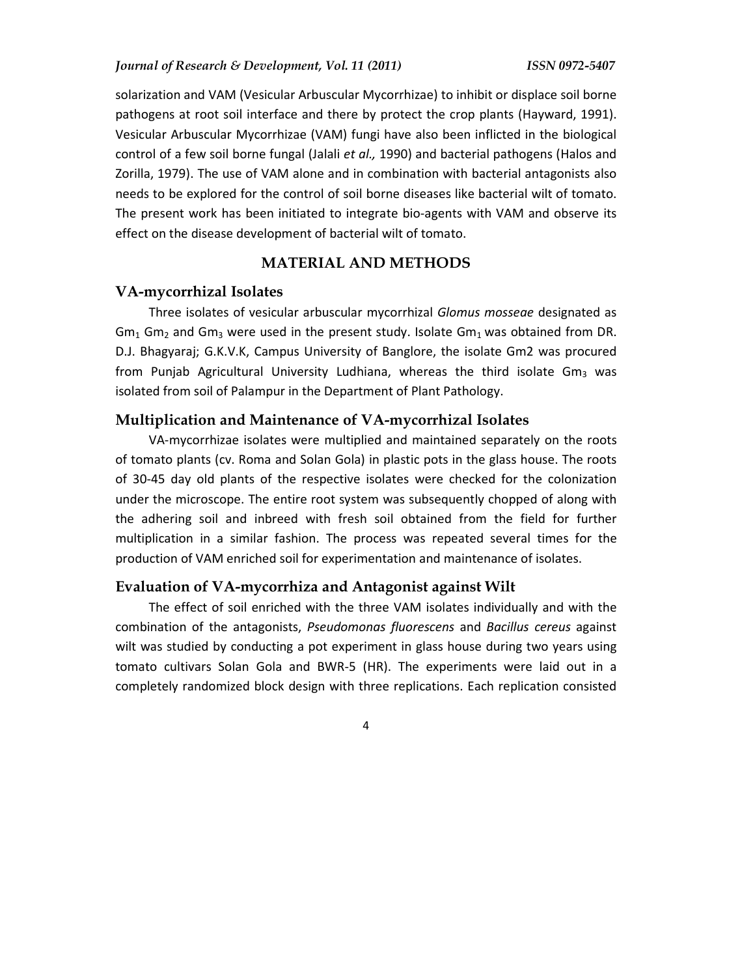solarization and VAM (Vesicular Arbuscular Mycorrhizae) to inhibit or displace soil borne pathogens at root soil interface and there by protect the crop plants (Hayward, 1991). Vesicular Arbuscular Mycorrhizae (VAM) fungi have also been inflicted in the biological control of a few soil borne fungal (Jalali *et al.,* 1990) and bacterial pathogens (Halos and Zorilla, 1979). The use of VAM alone and in combination with bacterial antagonists also needs to be explored for the control of soil borne diseases like bacterial wilt of tomato. The present work has been initiated to integrate bio-agents with VAM and observe its effect on the disease development of bacterial wilt of tomato.

## **MATERIAL AND METHODS**

#### **VA-mycorrhizal Isolates**

Three isolates of vesicular arbuscular mycorrhizal *Glomus mosseae* designated as  $Gm_1$  Gm<sub>2</sub> and Gm<sub>3</sub> were used in the present study. Isolate Gm<sub>1</sub> was obtained from DR. D.J. Bhagyaraj; G.K.V.K, Campus University of Banglore, the isolate Gm2 was procured from Punjab Agricultural University Ludhiana, whereas the third isolate  $Gm<sub>3</sub>$  was isolated from soil of Palampur in the Department of Plant Pathology.

## **Multiplication and Maintenance of VA-mycorrhizal Isolates**

VA-mycorrhizae isolates were multiplied and maintained separately on the roots of tomato plants (cv. Roma and Solan Gola) in plastic pots in the glass house. The roots of 30-45 day old plants of the respective isolates were checked for the colonization under the microscope. The entire root system was subsequently chopped of along with the adhering soil and inbreed with fresh soil obtained from the field for further multiplication in a similar fashion. The process was repeated several times for the production of VAM enriched soil for experimentation and maintenance of isolates.

# **Evaluation of VA-mycorrhiza and Antagonist against Wilt**

The effect of soil enriched with the three VAM isolates individually and with the combination of the antagonists, *Pseudomonas fluorescens* and *Bacillus cereus* against wilt was studied by conducting a pot experiment in glass house during two years using tomato cultivars Solan Gola and BWR-5 (HR). The experiments were laid out in a completely randomized block design with three replications. Each replication consisted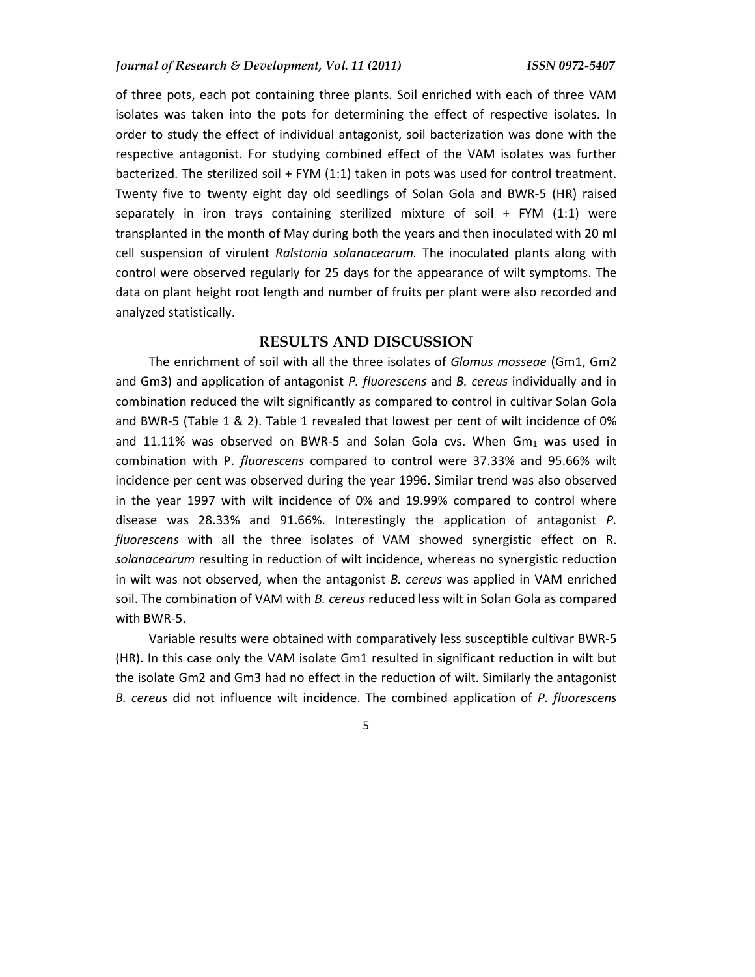of three pots, each pot containing three plants. Soil enriched with each of three VAM isolates was taken into the pots for determining the effect of respective isolates. In order to study the effect of individual antagonist, soil bacterization was done with the respective antagonist. For studying combined effect of the VAM isolates was further bacterized. The sterilized soil + FYM (1:1) taken in pots was used for control treatment. Twenty five to twenty eight day old seedlings of Solan Gola and BWR-5 (HR) raised separately in iron trays containing sterilized mixture of soil + FYM (1:1) were transplanted in the month of May during both the years and then inoculated with 20 ml cell suspension of virulent *Ralstonia solanacearum.* The inoculated plants along with control were observed regularly for 25 days for the appearance of wilt symptoms. The data on plant height root length and number of fruits per plant were also recorded and analyzed statistically.

# **RESULTS AND DISCUSSION**

The enrichment of soil with all the three isolates of *Glomus mosseae* (Gm1, Gm2 and Gm3) and application of antagonist *P. fluorescens* and *B. cereus* individually and in combination reduced the wilt significantly as compared to control in cultivar Solan Gola and BWR-5 (Table 1 & 2). Table 1 revealed that lowest per cent of wilt incidence of 0% and 11.11% was observed on BWR-5 and Solan Gola cvs. When  $Gm<sub>1</sub>$  was used in combination with P. *fluorescens* compared to control were 37.33% and 95.66% wilt incidence per cent was observed during the year 1996. Similar trend was also observed in the year 1997 with wilt incidence of 0% and 19.99% compared to control where disease was 28.33% and 91.66%. Interestingly the application of antagonist *P. fluorescens* with all the three isolates of VAM showed synergistic effect on R. *solanacearum* resulting in reduction of wilt incidence, whereas no synergistic reduction in wilt was not observed, when the antagonist *B. cereus* was applied in VAM enriched soil. The combination of VAM with *B. cereus* reduced less wilt in Solan Gola as compared with BWR-5.

Variable results were obtained with comparatively less susceptible cultivar BWR-5 (HR). In this case only the VAM isolate Gm1 resulted in significant reduction in wilt but the isolate Gm2 and Gm3 had no effect in the reduction of wilt. Similarly the antagonist *B. cereus* did not influence wilt incidence. The combined application of *P. fluorescens*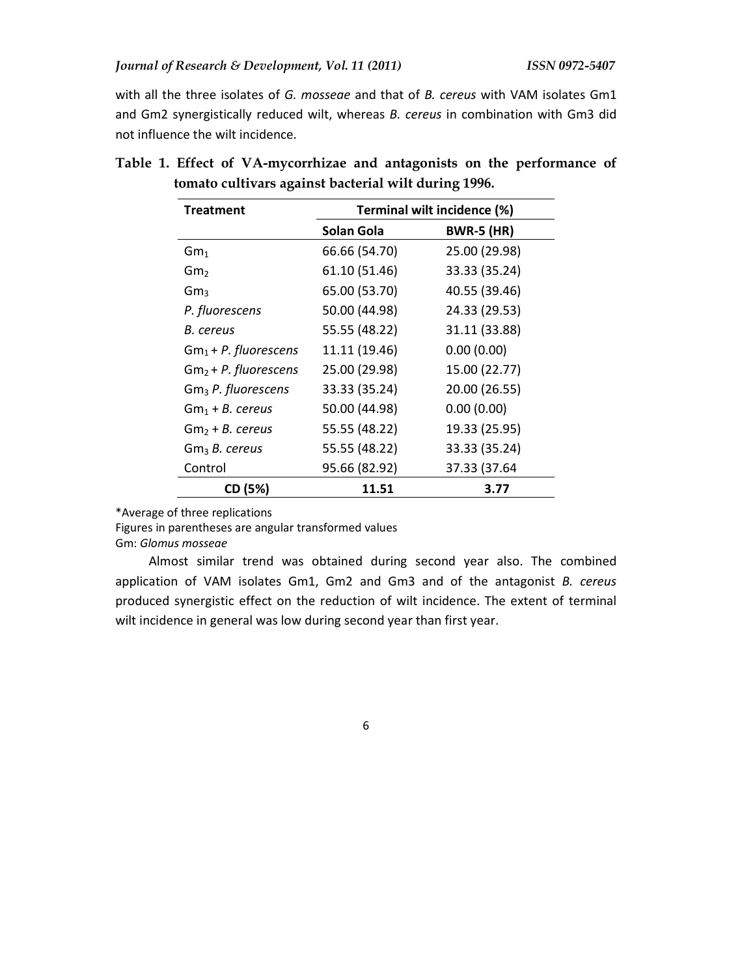with all the three isolates of *G. mosseae* and that of *B. cereus* with VAM isolates Gm1 and Gm2 synergistically reduced wilt, whereas *B. cereus* in combination with Gm3 did not influence the wilt incidence.

| <b>Treatment</b>               | Terminal wilt incidence (%) |                   |  |
|--------------------------------|-----------------------------|-------------------|--|
|                                | Solan Gola                  | <b>BWR-5 (HR)</b> |  |
| Gm <sub>1</sub>                | 66.66 (54.70)               | 25.00 (29.98)     |  |
| Gm,                            | 61.10 (51.46)               | 33.33 (35.24)     |  |
| $\rm{Gm}_{3}$                  | 65.00 (53.70)               | 40.55 (39.46)     |  |
| P. fluorescens                 | 50.00 (44.98)               | 24.33 (29.53)     |  |
| B. cereus                      | 55.55 (48.22)               | 31.11 (33.88)     |  |
| $Gm_1 + P.$ fluorescens        | 11.11 (19.46)               | 0.00(0.00)        |  |
| $Gm2 + P.$ fluorescens         | 25.00 (29.98)               | 15.00 (22.77)     |  |
| Gm <sub>3</sub> P. fluorescens | 33.33 (35.24)               | 20.00 (26.55)     |  |
| $Gm_1 + B$ . cereus            | 50.00 (44.98)               | 0.00(0.00)        |  |
| Gm <sub>2</sub> + B. cereus    | 55.55 (48.22)               | 19.33 (25.95)     |  |
| Gm <sub>3</sub> B. cereus      | 55.55 (48.22)               | 33.33 (35.24)     |  |
| Control                        | 95.66 (82.92)               | 37.33 (37.64      |  |
| CD (5%)                        | 11.51                       | 3.77              |  |

**Table 1. Effect of VA-mycorrhizae and antagonists on the performance of tomato cultivars against bacterial wilt during 1996.** 

\*Average of three replications

Figures in parentheses are angular transformed values

Gm: *Glomus mosseae*

Almost similar trend was obtained during second year also. The combined application of VAM isolates Gm1, Gm2 and Gm3 and of the antagonist *B. cereus* produced synergistic effect on the reduction of wilt incidence. The extent of terminal wilt incidence in general was low during second year than first year.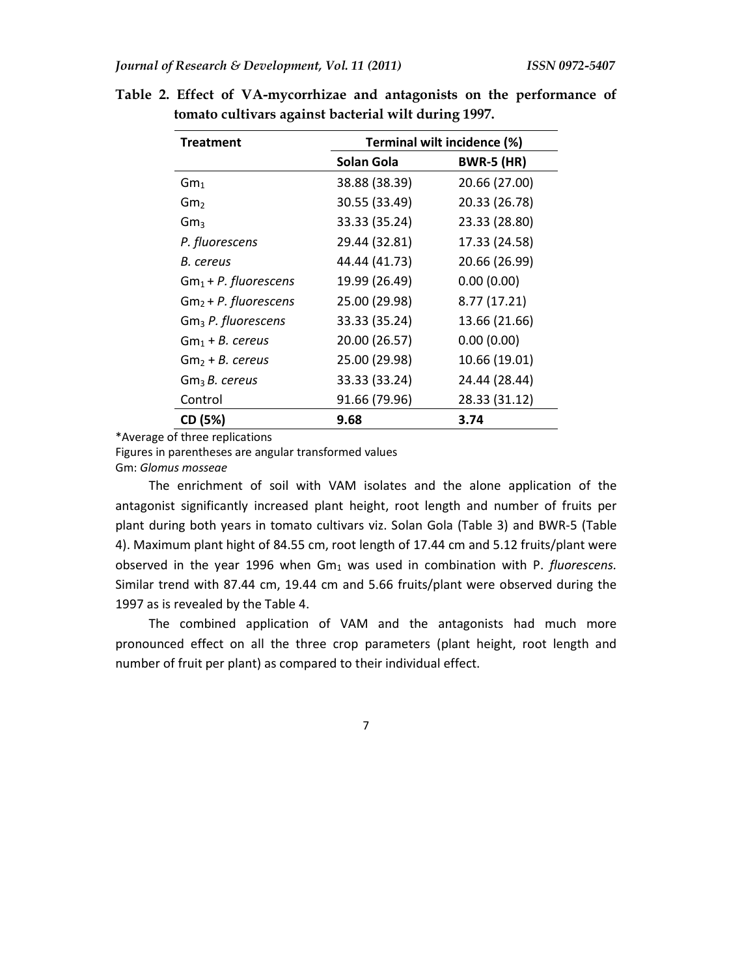| <b>Treatment</b>        | Terminal wilt incidence (%) |                   |  |
|-------------------------|-----------------------------|-------------------|--|
|                         | Solan Gola                  | <b>BWR-5 (HR)</b> |  |
| $\mathsf{Gm}_1$         | 38.88 (38.39)               | 20.66 (27.00)     |  |
| Gm <sub>2</sub>         | 30.55 (33.49)               | 20.33 (26.78)     |  |
| Gm <sub>3</sub>         | 33.33 (35.24)               | 23.33 (28.80)     |  |
| P. fluorescens          | 29.44 (32.81)               | 17.33 (24.58)     |  |
| B. cereus               | 44.44 (41.73)               | 20.66 (26.99)     |  |
| $Gm_1 + P.$ fluorescens | 19.99 (26.49)               | 0.00(0.00)        |  |
| $Gm2 + P.$ fluorescens  | 25.00 (29.98)               | 8.77 (17.21)      |  |
| $Gm3$ P. fluorescens    | 33.33 (35.24)               | 13.66 (21.66)     |  |
| $Gm_1 + B.$ cereus      | 20.00 (26.57)               | 0.00(0.00)        |  |
| $Gm2 + B.$ cereus       | 25.00 (29.98)               | 10.66 (19.01)     |  |
| $Gm3B.$ cereus          | 33.33 (33.24)               | 24.44 (28.44)     |  |
| Control                 | 91.66 (79.96)               | 28.33 (31.12)     |  |
| CD (5%)                 | 9.68                        | 3.74              |  |

**Table 2. Effect of VA-mycorrhizae and antagonists on the performance of tomato cultivars against bacterial wilt during 1997.** 

\*Average of three replications

Figures in parentheses are angular transformed values

Gm: *Glomus mosseae* 

The enrichment of soil with VAM isolates and the alone application of the antagonist significantly increased plant height, root length and number of fruits per plant during both years in tomato cultivars viz. Solan Gola (Table 3) and BWR-5 (Table 4). Maximum plant hight of 84.55 cm, root length of 17.44 cm and 5.12 fruits/plant were observed in the year 1996 when Gm<sub>1</sub> was used in combination with P. *fluorescens*. Similar trend with 87.44 cm, 19.44 cm and 5.66 fruits/plant were observed during the 1997 as is revealed by the Table 4.

The combined application of VAM and the antagonists had much more pronounced effect on all the three crop parameters (plant height, root length and number of fruit per plant) as compared to their individual effect.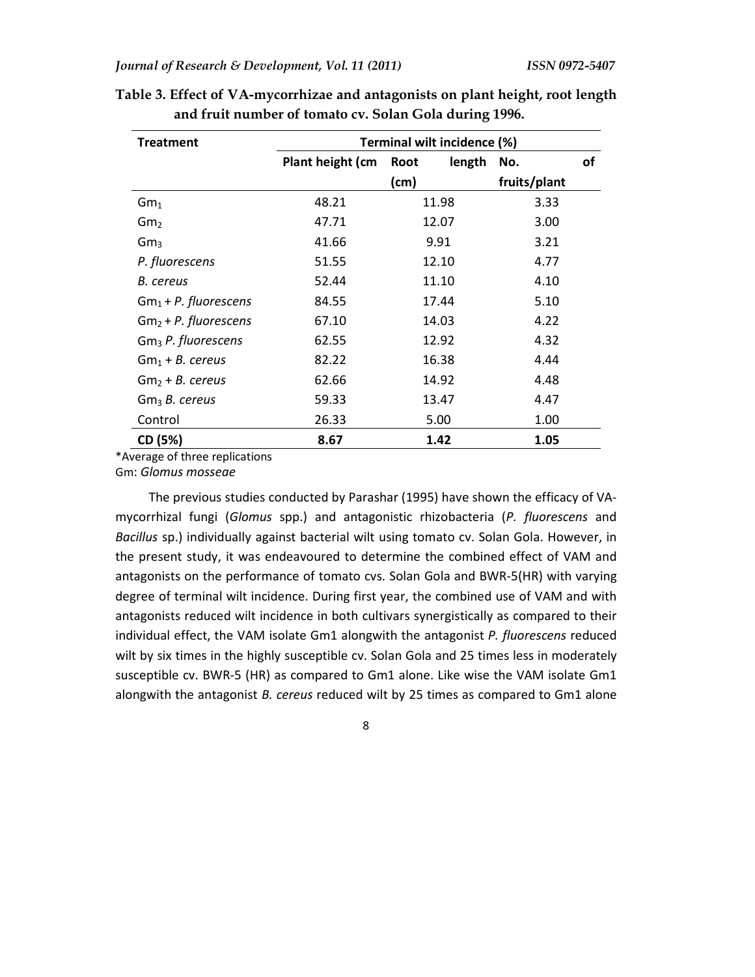| <b>Treatment</b>        | Terminal wilt incidence (%) |                |              |    |
|-------------------------|-----------------------------|----------------|--------------|----|
|                         | Plant height (cm            | length<br>Root | No.          | of |
|                         |                             | (cm)           | fruits/plant |    |
| Gm <sub>1</sub>         | 48.21                       | 11.98          | 3.33         |    |
| $\rm{Gm}_{2}$           | 47.71                       | 12.07          | 3.00         |    |
| $\rm{Gm}_{3}$           | 41.66                       | 9.91           | 3.21         |    |
| P. fluorescens          | 51.55                       | 12.10          | 4.77         |    |
| B. cereus               | 52.44                       | 11.10          | 4.10         |    |
| $Gm_1 + P.$ fluorescens | 84.55                       | 17.44          | 5.10         |    |
| $Gm2 + P.$ fluorescens  | 67.10                       | 14.03          | 4.22         |    |
| $Gm3$ P. fluorescens    | 62.55                       | 12.92          | 4.32         |    |
| $Gm1 + B.$ cereus       | 82.22                       | 16.38          | 4.44         |    |
| $Gm2 + B.$ cereus       | 62.66                       | 14.92          | 4.48         |    |
| $Gm3 B.$ cereus         | 59.33                       | 13.47          | 4.47         |    |
| Control                 | 26.33                       | 5.00           | 1.00         |    |
| CD (5%)                 | 8.67                        | 1.42           | 1.05         |    |

**Table 3. Effect of VA-mycorrhizae and antagonists on plant height, root length and fruit number of tomato cv. Solan Gola during 1996.** 

\*Average of three replications

Gm: *Glomus mosseae*

The previous studies conducted by Parashar (1995) have shown the efficacy of VAmycorrhizal fungi (*Glomus* spp.) and antagonistic rhizobacteria (*P. fluorescens* and *Bacillus* sp.) individually against bacterial wilt using tomato cv. Solan Gola. However, in the present study, it was endeavoured to determine the combined effect of VAM and antagonists on the performance of tomato cvs. Solan Gola and BWR-5(HR) with varying degree of terminal wilt incidence. During first year, the combined use of VAM and with antagonists reduced wilt incidence in both cultivars synergistically as compared to their individual effect, the VAM isolate Gm1 alongwith the antagonist *P. fluorescens* reduced wilt by six times in the highly susceptible cv. Solan Gola and 25 times less in moderately susceptible cv. BWR-5 (HR) as compared to Gm1 alone. Like wise the VAM isolate Gm1 alongwith the antagonist *B. cereus* reduced wilt by 25 times as compared to Gm1 alone

8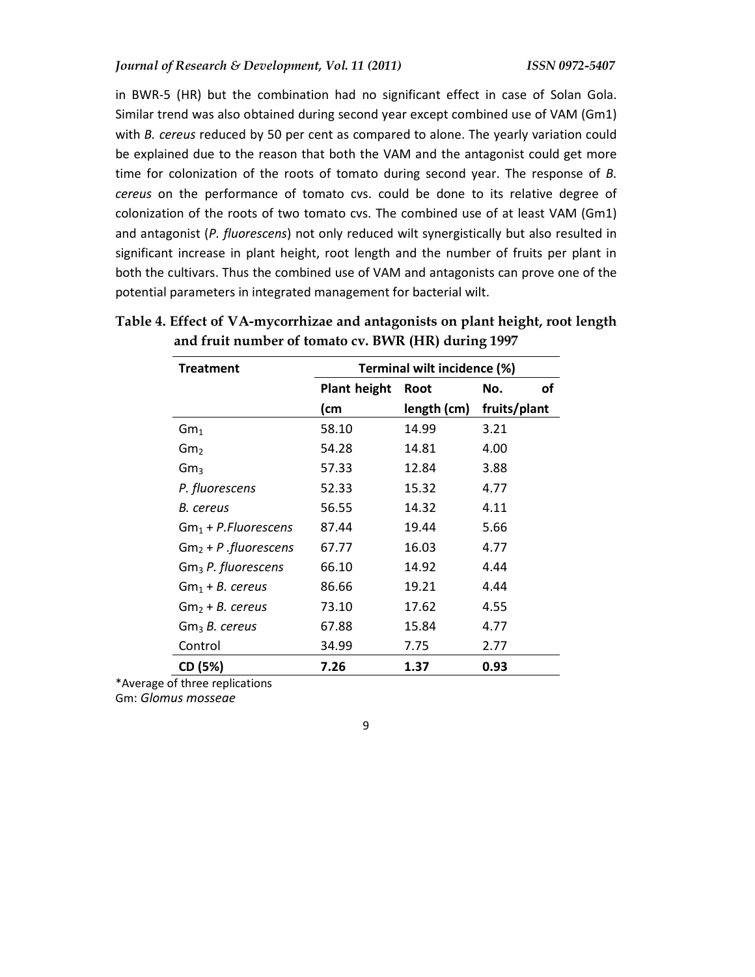in BWR-5 (HR) but the combination had no significant effect in case of Solan Gola. Similar trend was also obtained during second year except combined use of VAM (Gm1) with *B. cereus* reduced by 50 per cent as compared to alone. The yearly variation could be explained due to the reason that both the VAM and the antagonist could get more time for colonization of the roots of tomato during second year. The response of *B. cereus* on the performance of tomato cvs. could be done to its relative degree of colonization of the roots of two tomato cvs. The combined use of at least VAM (Gm1) and antagonist (*P. fluorescens*) not only reduced wilt synergistically but also resulted in significant increase in plant height, root length and the number of fruits per plant in both the cultivars. Thus the combined use of VAM and antagonists can prove one of the potential parameters in integrated management for bacterial wilt.

| <b>Treatment</b>               | Terminal wilt incidence (%) |             |              |
|--------------------------------|-----------------------------|-------------|--------------|
|                                | <b>Plant height</b>         | <b>Root</b> | οf<br>No.    |
|                                | (cm                         | length (cm) | fruits/plant |
| Gm <sub>1</sub>                | 58.10                       | 14.99       | 3.21         |
| Gm <sub>2</sub>                | 54.28                       | 14.81       | 4.00         |
| Gm <sub>3</sub>                | 57.33                       | 12.84       | 3.88         |
| P. fluorescens                 | 52.33                       | 15.32       | 4.77         |
| B. cereus                      | 56.55                       | 14.32       | 4.11         |
| $Gm_1 + P. Fluorescens$        | 87.44                       | 19.44       | 5.66         |
| $Gm2 + P$ . fluorescens        | 67.77                       | 16.03       | 4.77         |
| Gm <sub>3</sub> P. fluorescens | 66.10                       | 14.92       | 4.44         |
| $Gm_1 + B.$ cereus             | 86.66                       | 19.21       | 4.44         |
| Gm <sub>2</sub> + B. cereus    | 73.10                       | 17.62       | 4.55         |
| Gm <sub>3</sub> B. cereus      | 67.88                       | 15.84       | 4.77         |
| Control                        | 34.99                       | 7.75        | 2.77         |
| CD (5%)                        | 7.26                        | 1.37        | 0.93         |

**Table 4. Effect of VA-mycorrhizae and antagonists on plant height, root length and fruit number of tomato cv. BWR (HR) during 1997**

\*Average of three replications

Gm: *Glomus mosseae*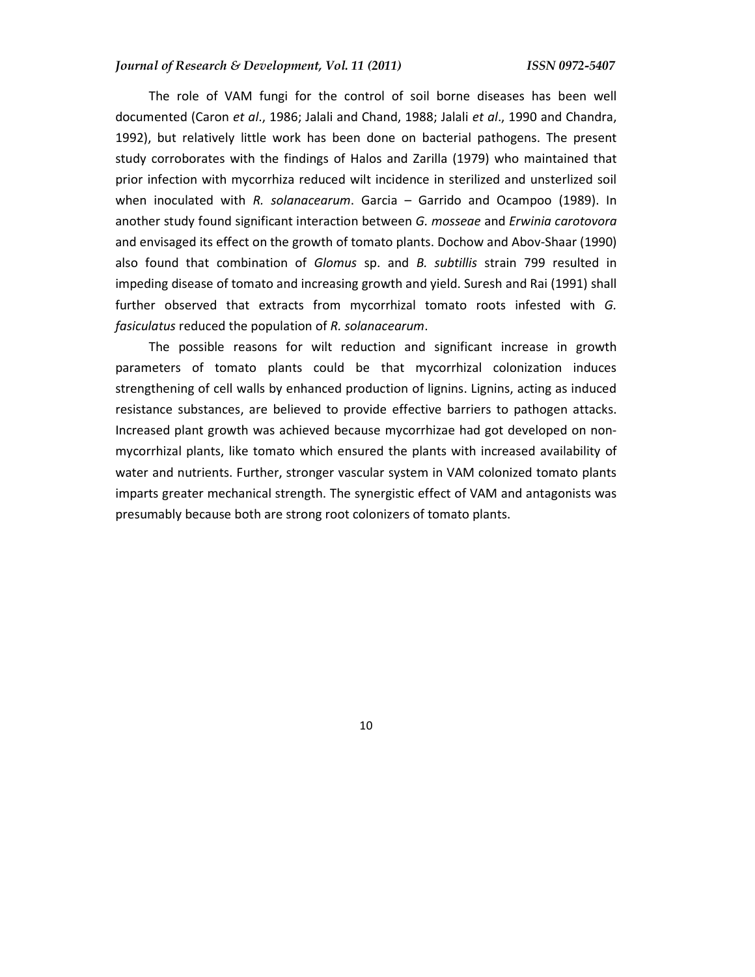#### *Journal of Research & Development, Vol. 11 (2011) ISSN 0972-5407*

The role of VAM fungi for the control of soil borne diseases has been well documented (Caron *et al*., 1986; Jalali and Chand, 1988; Jalali *et al*., 1990 and Chandra, 1992), but relatively little work has been done on bacterial pathogens. The present study corroborates with the findings of Halos and Zarilla (1979) who maintained that prior infection with mycorrhiza reduced wilt incidence in sterilized and unsterlized soil when inoculated with *R. solanacearum*. Garcia – Garrido and Ocampoo (1989). In another study found significant interaction between *G. mosseae* and *Erwinia carotovora* and envisaged its effect on the growth of tomato plants. Dochow and Abov-Shaar (1990) also found that combination of *Glomus* sp. and *B. subtillis* strain 799 resulted in impeding disease of tomato and increasing growth and yield. Suresh and Rai (1991) shall further observed that extracts from mycorrhizal tomato roots infested with *G. fasiculatus* reduced the population of *R. solanacearum*.

The possible reasons for wilt reduction and significant increase in growth parameters of tomato plants could be that mycorrhizal colonization induces strengthening of cell walls by enhanced production of lignins. Lignins, acting as induced resistance substances, are believed to provide effective barriers to pathogen attacks. Increased plant growth was achieved because mycorrhizae had got developed on nonmycorrhizal plants, like tomato which ensured the plants with increased availability of water and nutrients. Further, stronger vascular system in VAM colonized tomato plants imparts greater mechanical strength. The synergistic effect of VAM and antagonists was presumably because both are strong root colonizers of tomato plants.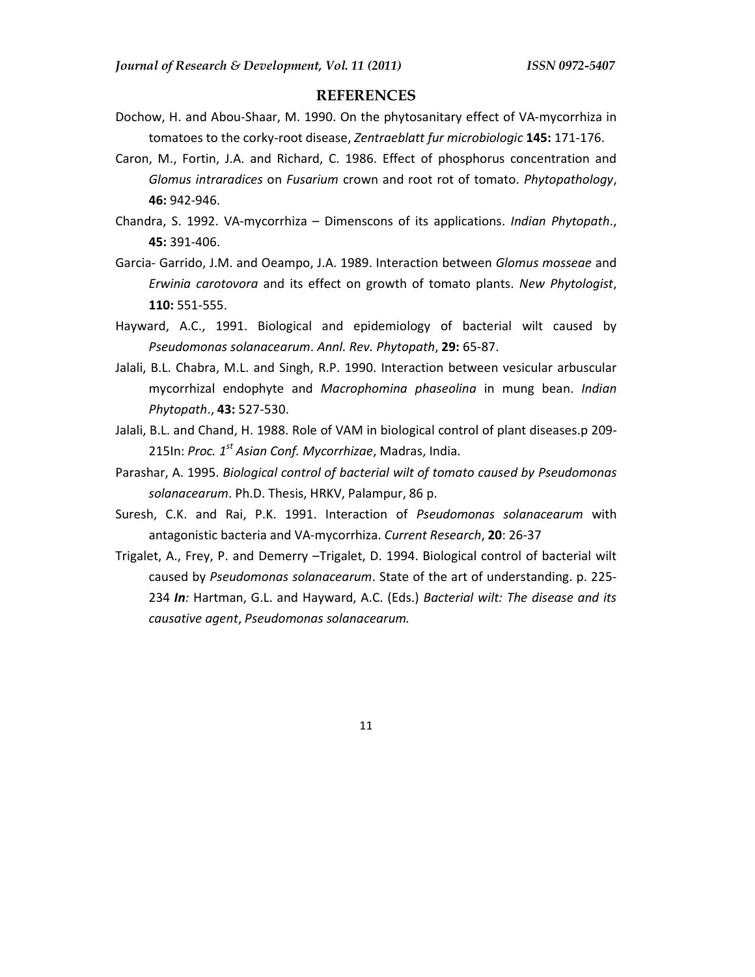#### **REFERENCES**

- Dochow, H. and Abou-Shaar, M. 1990. On the phytosanitary effect of VA-mycorrhiza in tomatoes to the corky-root disease, *Zentraeblatt fur microbiologic* **145:** 171-176.
- Caron, M., Fortin, J.A. and Richard, C. 1986. Effect of phosphorus concentration and *Glomus intraradices* on *Fusarium* crown and root rot of tomato. *Phytopathology*, **46:** 942-946.
- Chandra, S. 1992. VA-mycorrhiza Dimenscons of its applications. *Indian Phytopath*., **45:** 391-406.
- Garcia- Garrido, J.M. and Oeampo, J.A. 1989. Interaction between *Glomus mosseae* and *Erwinia carotovora* and its effect on growth of tomato plants. *New Phytologist*, **110:** 551-555.
- Hayward, A.C., 1991. Biological and epidemiology of bacterial wilt caused by *Pseudomonas solanacearum*. *Annl. Rev. Phytopath*, **29:** 65-87.
- Jalali, B.L. Chabra, M.L. and Singh, R.P. 1990. Interaction between vesicular arbuscular mycorrhizal endophyte and *Macrophomina phaseolina* in mung bean. *Indian Phytopath*., **43:** 527-530.
- Jalali, B.L. and Chand, H. 1988. Role of VAM in biological control of plant diseases.p 209- 215In: *Proc. 1st Asian Conf. Mycorrhizae*, Madras, India.
- Parashar, A. 1995. *Biological control of bacterial wilt of tomato caused by Pseudomonas solanacearum*. Ph.D. Thesis, HRKV, Palampur, 86 p.
- Suresh, C.K. and Rai, P.K. 1991. Interaction of *Pseudomonas solanacearum* with antagonistic bacteria and VA-mycorrhiza. *Current Research*, **20**: 26-37
- Trigalet, A., Frey, P. and Demerry –Trigalet, D. 1994. Biological control of bacterial wilt caused by *Pseudomonas solanacearum*. State of the art of understanding. p. 225- 234 *In:* Hartman, G.L. and Hayward, A.C. (Eds.) *Bacterial wilt: The disease and its causative agent*, *Pseudomonas solanacearum.*